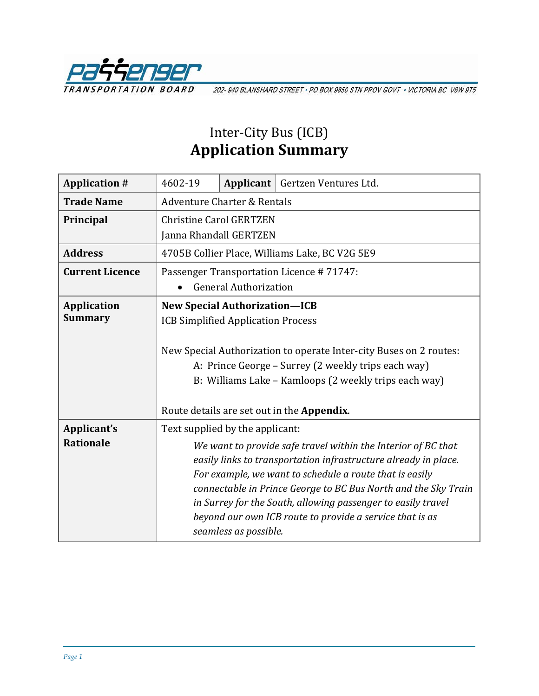

202-940 BLANSHARD STREET · PO BOX 9850 STN PROV GOVT · VICTORIA BC V8W 9T5

## Inter-City Bus (ICB) **Application Summary**

| 4602-19                                                                                                                          |  | Applicant   Gertzen Ventures Ltd.                              |  |
|----------------------------------------------------------------------------------------------------------------------------------|--|----------------------------------------------------------------|--|
| Adventure Charter & Rentals                                                                                                      |  |                                                                |  |
| <b>Christine Carol GERTZEN</b>                                                                                                   |  |                                                                |  |
| Janna Rhandall GERTZEN                                                                                                           |  |                                                                |  |
| 4705B Collier Place, Williams Lake, BC V2G 5E9                                                                                   |  |                                                                |  |
| Passenger Transportation Licence #71747:                                                                                         |  |                                                                |  |
| <b>General Authorization</b>                                                                                                     |  |                                                                |  |
| <b>New Special Authorization-ICB</b><br><b>ICB Simplified Application Process</b>                                                |  |                                                                |  |
|                                                                                                                                  |  |                                                                |  |
| New Special Authorization to operate Inter-city Buses on 2 routes:                                                               |  |                                                                |  |
| A: Prince George - Surrey (2 weekly trips each way)                                                                              |  |                                                                |  |
| B: Williams Lake - Kamloops (2 weekly trips each way)                                                                            |  |                                                                |  |
| Route details are set out in the Appendix.                                                                                       |  |                                                                |  |
| Text supplied by the applicant:                                                                                                  |  |                                                                |  |
| We want to provide safe travel within the Interior of BC that<br>easily links to transportation infrastructure already in place. |  |                                                                |  |
|                                                                                                                                  |  |                                                                |  |
|                                                                                                                                  |  | connectable in Prince George to BC Bus North and the Sky Train |  |
|                                                                                                                                  |  | in Surrey for the South, allowing passenger to easily travel   |  |
|                                                                                                                                  |  | beyond our own ICB route to provide a service that is as       |  |
|                                                                                                                                  |  | seamless as possible.                                          |  |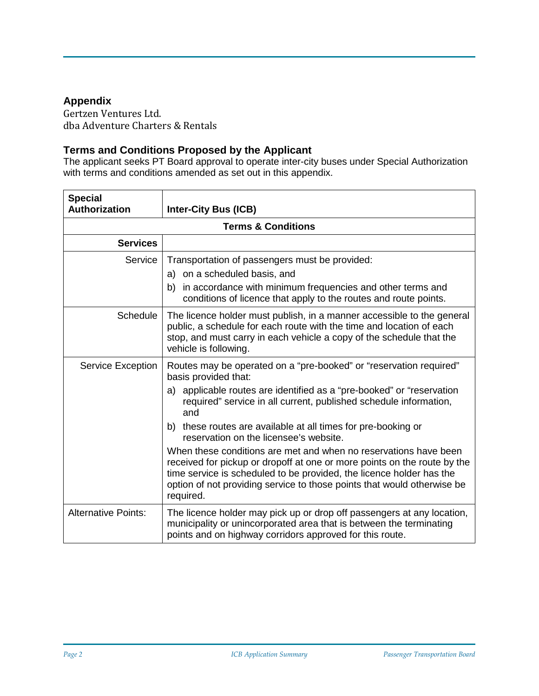## **Appendix**

Gertzen Ventures Ltd. dba Adventure Charters & Rentals

## **Terms and Conditions Proposed by the Applicant**

The applicant seeks PT Board approval to operate inter-city buses under Special Authorization with terms and conditions amended as set out in this appendix.

| <b>Special</b>                |                                                                                                                                                                                                                                                                                                              |  |
|-------------------------------|--------------------------------------------------------------------------------------------------------------------------------------------------------------------------------------------------------------------------------------------------------------------------------------------------------------|--|
| <b>Authorization</b>          | <b>Inter-City Bus (ICB)</b>                                                                                                                                                                                                                                                                                  |  |
| <b>Terms &amp; Conditions</b> |                                                                                                                                                                                                                                                                                                              |  |
| <b>Services</b>               |                                                                                                                                                                                                                                                                                                              |  |
| Service                       | Transportation of passengers must be provided:                                                                                                                                                                                                                                                               |  |
|                               | a) on a scheduled basis, and                                                                                                                                                                                                                                                                                 |  |
|                               | b) in accordance with minimum frequencies and other terms and<br>conditions of licence that apply to the routes and route points.                                                                                                                                                                            |  |
| Schedule                      | The licence holder must publish, in a manner accessible to the general<br>public, a schedule for each route with the time and location of each<br>stop, and must carry in each vehicle a copy of the schedule that the<br>vehicle is following.                                                              |  |
| <b>Service Exception</b>      | Routes may be operated on a "pre-booked" or "reservation required"<br>basis provided that:                                                                                                                                                                                                                   |  |
|                               | a) applicable routes are identified as a "pre-booked" or "reservation<br>required" service in all current, published schedule information,<br>and                                                                                                                                                            |  |
|                               | b) these routes are available at all times for pre-booking or<br>reservation on the licensee's website.                                                                                                                                                                                                      |  |
|                               | When these conditions are met and when no reservations have been<br>received for pickup or dropoff at one or more points on the route by the<br>time service is scheduled to be provided, the licence holder has the<br>option of not providing service to those points that would otherwise be<br>required. |  |
| <b>Alternative Points:</b>    | The licence holder may pick up or drop off passengers at any location,<br>municipality or unincorporated area that is between the terminating<br>points and on highway corridors approved for this route.                                                                                                    |  |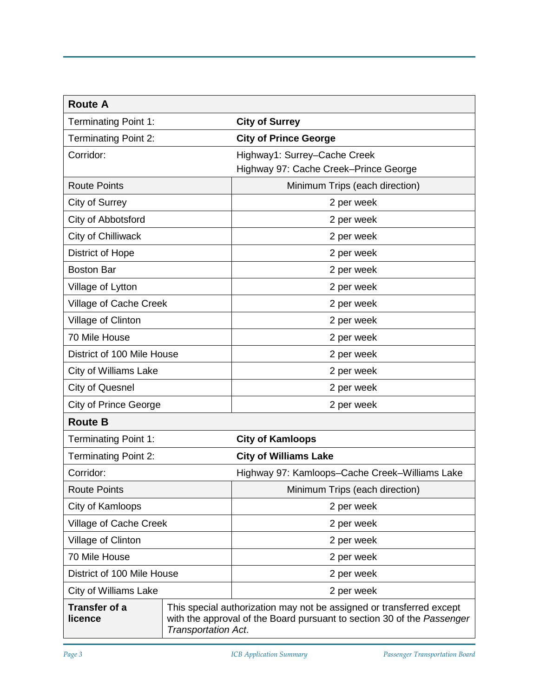| <b>Route A</b>                  |                     |                                                                                                                                                |  |
|---------------------------------|---------------------|------------------------------------------------------------------------------------------------------------------------------------------------|--|
| <b>Terminating Point 1:</b>     |                     | <b>City of Surrey</b>                                                                                                                          |  |
| <b>Terminating Point 2:</b>     |                     | <b>City of Prince George</b>                                                                                                                   |  |
| Corridor:                       |                     | Highway1: Surrey-Cache Creek<br>Highway 97: Cache Creek-Prince George                                                                          |  |
| <b>Route Points</b>             |                     | Minimum Trips (each direction)                                                                                                                 |  |
| City of Surrey                  |                     | 2 per week                                                                                                                                     |  |
| City of Abbotsford              |                     | 2 per week                                                                                                                                     |  |
| City of Chilliwack              |                     | 2 per week                                                                                                                                     |  |
| <b>District of Hope</b>         |                     | 2 per week                                                                                                                                     |  |
| <b>Boston Bar</b>               |                     | 2 per week                                                                                                                                     |  |
| Village of Lytton               |                     | 2 per week                                                                                                                                     |  |
| Village of Cache Creek          |                     | 2 per week                                                                                                                                     |  |
| Village of Clinton              |                     | 2 per week                                                                                                                                     |  |
| 70 Mile House                   |                     | 2 per week                                                                                                                                     |  |
| District of 100 Mile House      |                     | 2 per week                                                                                                                                     |  |
| <b>City of Williams Lake</b>    |                     | 2 per week                                                                                                                                     |  |
| <b>City of Quesnel</b>          |                     | 2 per week                                                                                                                                     |  |
| <b>City of Prince George</b>    |                     | 2 per week                                                                                                                                     |  |
| <b>Route B</b>                  |                     |                                                                                                                                                |  |
| <b>Terminating Point 1:</b>     |                     | <b>City of Kamloops</b>                                                                                                                        |  |
| <b>Terminating Point 2:</b>     |                     | <b>City of Williams Lake</b>                                                                                                                   |  |
| Corridor:                       |                     | Highway 97: Kamloops-Cache Creek-Williams Lake                                                                                                 |  |
| <b>Route Points</b>             |                     | Minimum Trips (each direction)                                                                                                                 |  |
| City of Kamloops                |                     | 2 per week                                                                                                                                     |  |
| Village of Cache Creek          |                     | 2 per week                                                                                                                                     |  |
| Village of Clinton              |                     | 2 per week                                                                                                                                     |  |
| 70 Mile House                   |                     | 2 per week                                                                                                                                     |  |
| District of 100 Mile House      |                     | 2 per week                                                                                                                                     |  |
| <b>City of Williams Lake</b>    |                     | 2 per week                                                                                                                                     |  |
| <b>Transfer of a</b><br>licence | Transportation Act. | This special authorization may not be assigned or transferred except<br>with the approval of the Board pursuant to section 30 of the Passenger |  |